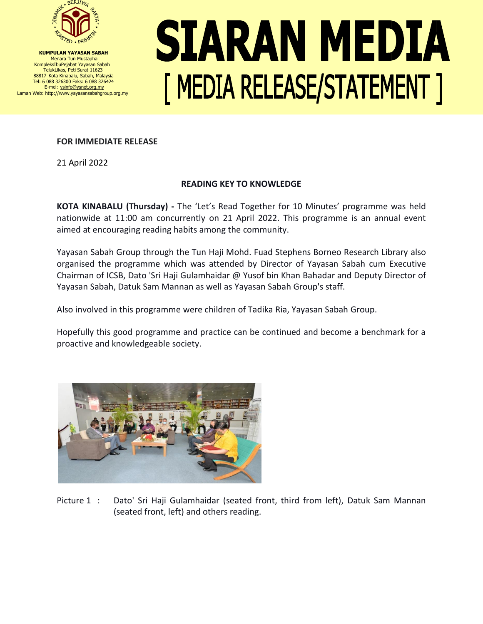

**KUMPULAN YAYASAN SABAH** Menara Tun Mustapha KompleksIbuPejabat Yayasan Sabah TelukLikas, Peti Surat 11623 88817 Kota Kinabalu, Sabah, Malaysia Tel: 6 088 326300 Faks: 6 088 326424 E-mel: ysinfo@ysnet.org.my Laman Web: http://www.yayasansabahgroup.org.my

## SIARAN MEDIA [ MEDIA RELEASE/STATEMENT ]

## **FOR IMMEDIATE RELEASE**

21 April 2022

## **READING KEY TO KNOWLEDGE**

**KOTA KINABALU (Thursday) -** The 'Let's Read Together for 10 Minutes' programme was held nationwide at 11:00 am concurrently on 21 April 2022. This programme is an annual event aimed at encouraging reading habits among the community.

Yayasan Sabah Group through the Tun Haji Mohd. Fuad Stephens Borneo Research Library also organised the programme which was attended by Director of Yayasan Sabah cum Executive Chairman of ICSB, Dato 'Sri Haji Gulamhaidar @ Yusof bin Khan Bahadar and Deputy Director of Yayasan Sabah, Datuk Sam Mannan as well as Yayasan Sabah Group's staff.

Also involved in this programme were children of Tadika Ria, Yayasan Sabah Group.

Hopefully this good programme and practice can be continued and become a benchmark for a proactive and knowledgeable society.



Picture 1 : Dato' Sri Haji Gulamhaidar (seated front, third from left), Datuk Sam Mannan (seated front, left) and others reading.